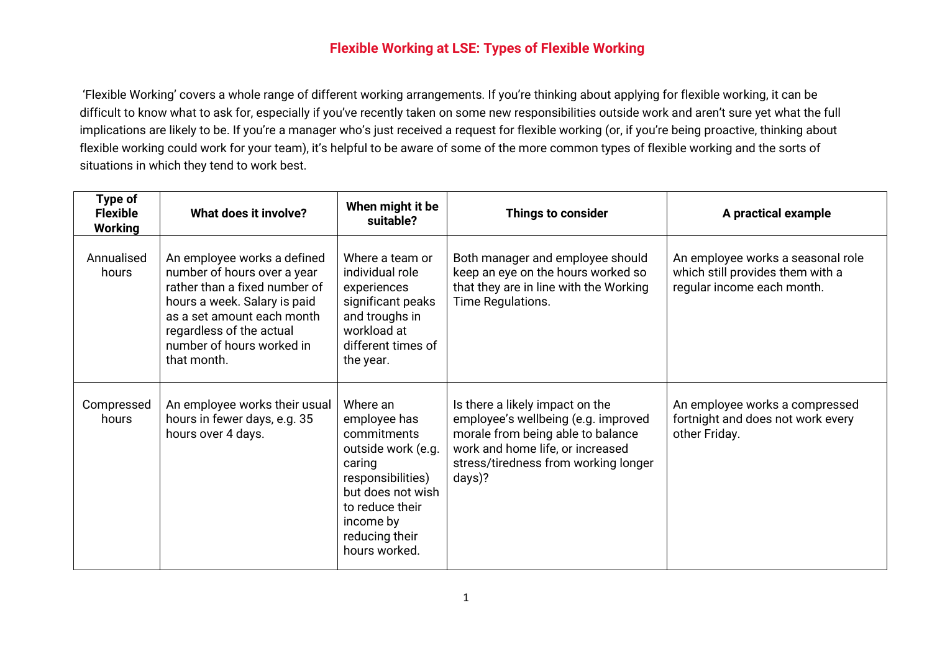## **Flexible Working at LSE: Types of Flexible Working**

'Flexible Working' covers a whole range of different working arrangements. If you're thinking about applying for flexible working, it can be difficult to know what to ask for, especially if you've recently taken on some new responsibilities outside work and aren't sure yet what the full implications are likely to be. If you're a manager who's just received a request for flexible working (or, if you're being proactive, thinking about flexible working could work for your team), it's helpful to be aware of some of the more common types of flexible working and the sorts of situations in which they tend to work best.

| Type of<br><b>Flexible</b><br><b>Working</b> | What does it involve?                                                                                                                                                                                                             | When might it be<br>suitable?                                                                                                                                                        | <b>Things to consider</b>                                                                                                                                                                         | A practical example                                                                                 |
|----------------------------------------------|-----------------------------------------------------------------------------------------------------------------------------------------------------------------------------------------------------------------------------------|--------------------------------------------------------------------------------------------------------------------------------------------------------------------------------------|---------------------------------------------------------------------------------------------------------------------------------------------------------------------------------------------------|-----------------------------------------------------------------------------------------------------|
| Annualised<br>hours                          | An employee works a defined<br>number of hours over a year<br>rather than a fixed number of<br>hours a week. Salary is paid<br>as a set amount each month<br>regardless of the actual<br>number of hours worked in<br>that month. | Where a team or<br>individual role<br>experiences<br>significant peaks<br>and troughs in<br>workload at<br>different times of<br>the year.                                           | Both manager and employee should<br>keep an eye on the hours worked so<br>that they are in line with the Working<br>Time Regulations.                                                             | An employee works a seasonal role<br>which still provides them with a<br>regular income each month. |
| Compressed<br>hours                          | An employee works their usual<br>hours in fewer days, e.g. 35<br>hours over 4 days.                                                                                                                                               | Where an<br>employee has<br>commitments<br>outside work (e.g.<br>caring<br>responsibilities)<br>but does not wish<br>to reduce their<br>income by<br>reducing their<br>hours worked. | Is there a likely impact on the<br>employee's wellbeing (e.g. improved<br>morale from being able to balance<br>work and home life, or increased<br>stress/tiredness from working longer<br>days)? | An employee works a compressed<br>fortnight and does not work every<br>other Friday.                |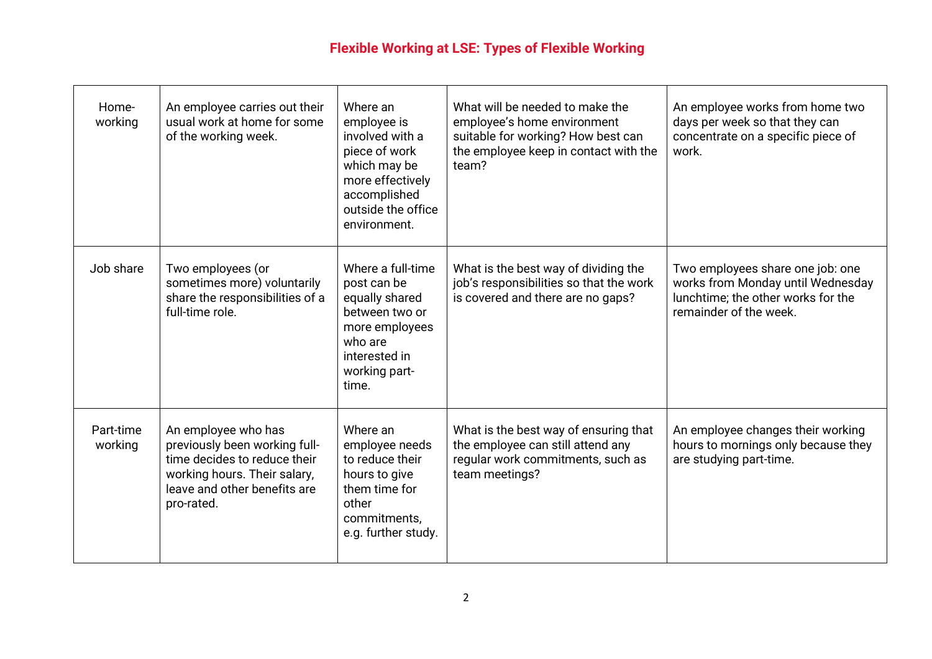## **Flexible Working at LSE: Types of Flexible Working**

| Home-<br>working     | An employee carries out their<br>usual work at home for some<br>of the working week.                                                                               | Where an<br>employee is<br>involved with a<br>piece of work<br>which may be<br>more effectively<br>accomplished<br>outside the office<br>environment. | What will be needed to make the<br>employee's home environment<br>suitable for working? How best can<br>the employee keep in contact with the<br>team? | An employee works from home two<br>days per week so that they can<br>concentrate on a specific piece of<br>work.                      |
|----------------------|--------------------------------------------------------------------------------------------------------------------------------------------------------------------|-------------------------------------------------------------------------------------------------------------------------------------------------------|--------------------------------------------------------------------------------------------------------------------------------------------------------|---------------------------------------------------------------------------------------------------------------------------------------|
| Job share            | Two employees (or<br>sometimes more) voluntarily<br>share the responsibilities of a<br>full-time role.                                                             | Where a full-time<br>post can be<br>equally shared<br>between two or<br>more employees<br>who are<br>interested in<br>working part-<br>time.          | What is the best way of dividing the<br>job's responsibilities so that the work<br>is covered and there are no gaps?                                   | Two employees share one job: one<br>works from Monday until Wednesday<br>lunchtime; the other works for the<br>remainder of the week. |
| Part-time<br>working | An employee who has<br>previously been working full-<br>time decides to reduce their<br>working hours. Their salary,<br>leave and other benefits are<br>pro-rated. | Where an<br>employee needs<br>to reduce their<br>hours to give<br>them time for<br>other<br>commitments,<br>e.g. further study.                       | What is the best way of ensuring that<br>the employee can still attend any<br>regular work commitments, such as<br>team meetings?                      | An employee changes their working<br>hours to mornings only because they<br>are studying part-time.                                   |